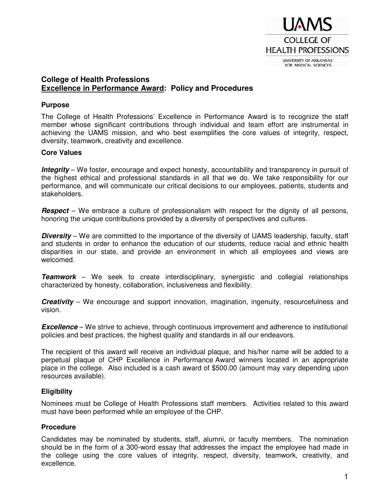

#### **College of Health Professions Excellence in Performance Award: Policy and Procedures**

#### **Purpose**

The College of Health Professions' Excellence in Performance Award is to recognize the staff member whose significant contributions through individual and team effort are instrumental in achieving the UAMS mission, and who best exemplifies the core values of integrity, respect, diversity, teamwork, creativity and excellence.

#### **Core Values**

**Integrity** – We foster, encourage and expect honesty, accountability and transparency in pursuit of the highest ethical and professional standards in all that we do. We take responsibility for our performance, and will communicate our critical decisions to our employees, patients, students and stakeholders.

**Respect** – We embrace a culture of professionalism with respect for the dignity of all persons, honoring the unique contributions provided by a diversity of perspectives and cultures.

**Diversity** – We are committed to the importance of the diversity of UAMS leadership, faculty, staff and students in order to enhance the education of our students, reduce racial and ethnic health disparities in our state, and provide an environment in which all employees and views are welcomed.

**Teamwork** – We seek to create interdisciplinary, synergistic and collegial relationships characterized by honesty, collaboration, inclusiveness and flexibility.

**Creativity** – We encourage and support innovation, imagination, ingenuity, resourcefulness and vision.

**Excellence** – We strive to achieve, through continuous improvement and adherence to institutional policies and best practices, the highest quality and standards in all our endeavors.

The recipient of this award will receive an individual plaque, and his/her name will be added to a perpetual plaque of CHP Excellence in Performance Award winners located in an appropriate place in the college. Also included is a cash award of \$500.00 (amount may vary depending upon resources available).

#### **Eligibility**

Nominees must be College of Health Professions staff members. Activities related to this award must have been performed while an employee of the CHP.

#### **Procedure**

Candidates may be nominated by students, staff, alumni, or faculty members. The nomination should be in the form of a 300-word essay that addresses the impact the employee had made in the college using the core values of integrity, respect, diversity, teamwork, creativity, and excellence.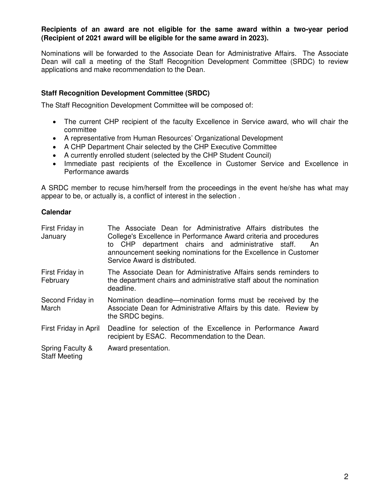#### **Recipients of an award are not eligible for the same award within a two-year period (Recipient of 2021 award will be eligible for the same award in 2023).**

Nominations will be forwarded to the Associate Dean for Administrative Affairs. The Associate Dean will call a meeting of the Staff Recognition Development Committee (SRDC) to review applications and make recommendation to the Dean.

#### **Staff Recognition Development Committee (SRDC)**

The Staff Recognition Development Committee will be composed of:

- The current CHP recipient of the faculty Excellence in Service award, who will chair the committee
- A representative from Human Resources' Organizational Development
- A CHP Department Chair selected by the CHP Executive Committee
- A currently enrolled student (selected by the CHP Student Council)
- Immediate past recipients of the Excellence in Customer Service and Excellence in Performance awards

A SRDC member to recuse him/herself from the proceedings in the event he/she has what may appear to be, or actually is, a conflict of interest in the selection .

#### **Calendar**

| First Friday in<br>January               | The Associate Dean for Administrative Affairs distributes the<br>College's Excellence in Performance Award criteria and procedures<br>to CHP department chairs and administrative staff.<br>An<br>announcement seeking nominations for the Excellence in Customer<br>Service Award is distributed. |  |  |  |
|------------------------------------------|----------------------------------------------------------------------------------------------------------------------------------------------------------------------------------------------------------------------------------------------------------------------------------------------------|--|--|--|
| First Friday in<br>February              | The Associate Dean for Administrative Affairs sends reminders to<br>the department chairs and administrative staff about the nomination<br>deadline.                                                                                                                                               |  |  |  |
| Second Friday in<br>March                | Nomination deadline—nomination forms must be received by the<br>Associate Dean for Administrative Affairs by this date. Review by<br>the SRDC begins.                                                                                                                                              |  |  |  |
| First Friday in April                    | Deadline for selection of the Excellence in Performance Award<br>recipient by ESAC. Recommendation to the Dean.                                                                                                                                                                                    |  |  |  |
| Spring Faculty &<br><b>Staff Meeting</b> | Award presentation.                                                                                                                                                                                                                                                                                |  |  |  |